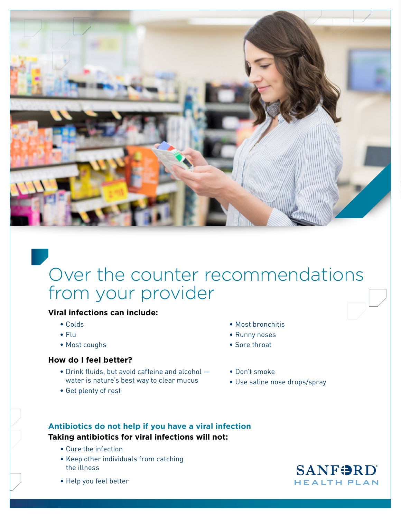

# Over the counter recommendations from your provider

### **Viral infections can include:**

- Colds
- Flu
- Most coughs

#### **How do I feel better?**

- Drink fluids, but avoid caffeine and alcohol water is nature's best way to clear mucus
- Get plenty of rest
- Most bronchitis
- Runny noses
- Sore throat
- Don't smoke
- Use saline nose drops/spray

#### **Antibiotics do not help if you have a viral infection Taking antibiotics for viral infections will not:**

- Cure the infection
- Keep other individuals from catching the illness
- Help you feel better